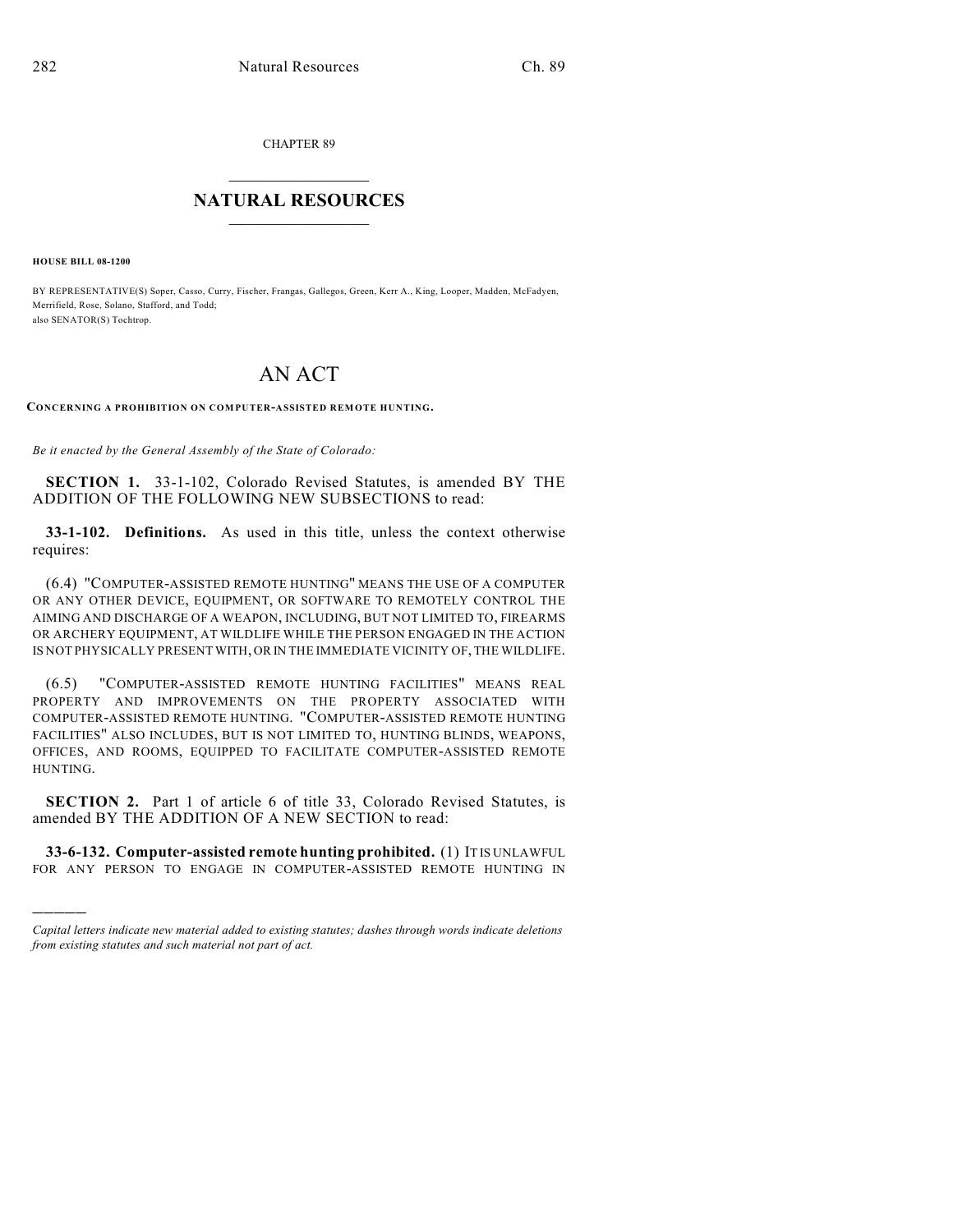CHAPTER 89

## $\overline{\phantom{a}}$  . The set of the set of the set of the set of the set of the set of the set of the set of the set of the set of the set of the set of the set of the set of the set of the set of the set of the set of the set o **NATURAL RESOURCES**  $\frac{1}{\sqrt{2}}$  , where  $\frac{1}{\sqrt{2}}$  ,  $\frac{1}{\sqrt{2}}$  ,  $\frac{1}{\sqrt{2}}$

**HOUSE BILL 08-1200**

)))))

BY REPRESENTATIVE(S) Soper, Casso, Curry, Fischer, Frangas, Gallegos, Green, Kerr A., King, Looper, Madden, McFadyen, Merrifield, Rose, Solano, Stafford, and Todd; also SENATOR(S) Tochtrop.

## AN ACT

**CONCERNING A PROHIBITION ON COMPUTER-ASSISTED REMOTE HUNTING.**

*Be it enacted by the General Assembly of the State of Colorado:*

**SECTION 1.** 33-1-102, Colorado Revised Statutes, is amended BY THE ADDITION OF THE FOLLOWING NEW SUBSECTIONS to read:

**33-1-102. Definitions.** As used in this title, unless the context otherwise requires:

(6.4) "COMPUTER-ASSISTED REMOTE HUNTING" MEANS THE USE OF A COMPUTER OR ANY OTHER DEVICE, EQUIPMENT, OR SOFTWARE TO REMOTELY CONTROL THE AIMING AND DISCHARGE OF A WEAPON, INCLUDING, BUT NOT LIMITED TO, FIREARMS OR ARCHERY EQUIPMENT, AT WILDLIFE WHILE THE PERSON ENGAGED IN THE ACTION IS NOT PHYSICALLY PRESENT WITH, OR IN THE IMMEDIATE VICINITY OF, THE WILDLIFE.

(6.5) "COMPUTER-ASSISTED REMOTE HUNTING FACILITIES" MEANS REAL PROPERTY AND IMPROVEMENTS ON THE PROPERTY ASSOCIATED WITH COMPUTER-ASSISTED REMOTE HUNTING. "COMPUTER-ASSISTED REMOTE HUNTING FACILITIES" ALSO INCLUDES, BUT IS NOT LIMITED TO, HUNTING BLINDS, WEAPONS, OFFICES, AND ROOMS, EQUIPPED TO FACILITATE COMPUTER-ASSISTED REMOTE HUNTING.

**SECTION 2.** Part 1 of article 6 of title 33, Colorado Revised Statutes, is amended BY THE ADDITION OF A NEW SECTION to read:

**33-6-132. Computer-assisted remote hunting prohibited.** (1) IT IS UNLAWFUL FOR ANY PERSON TO ENGAGE IN COMPUTER-ASSISTED REMOTE HUNTING IN

*Capital letters indicate new material added to existing statutes; dashes through words indicate deletions from existing statutes and such material not part of act.*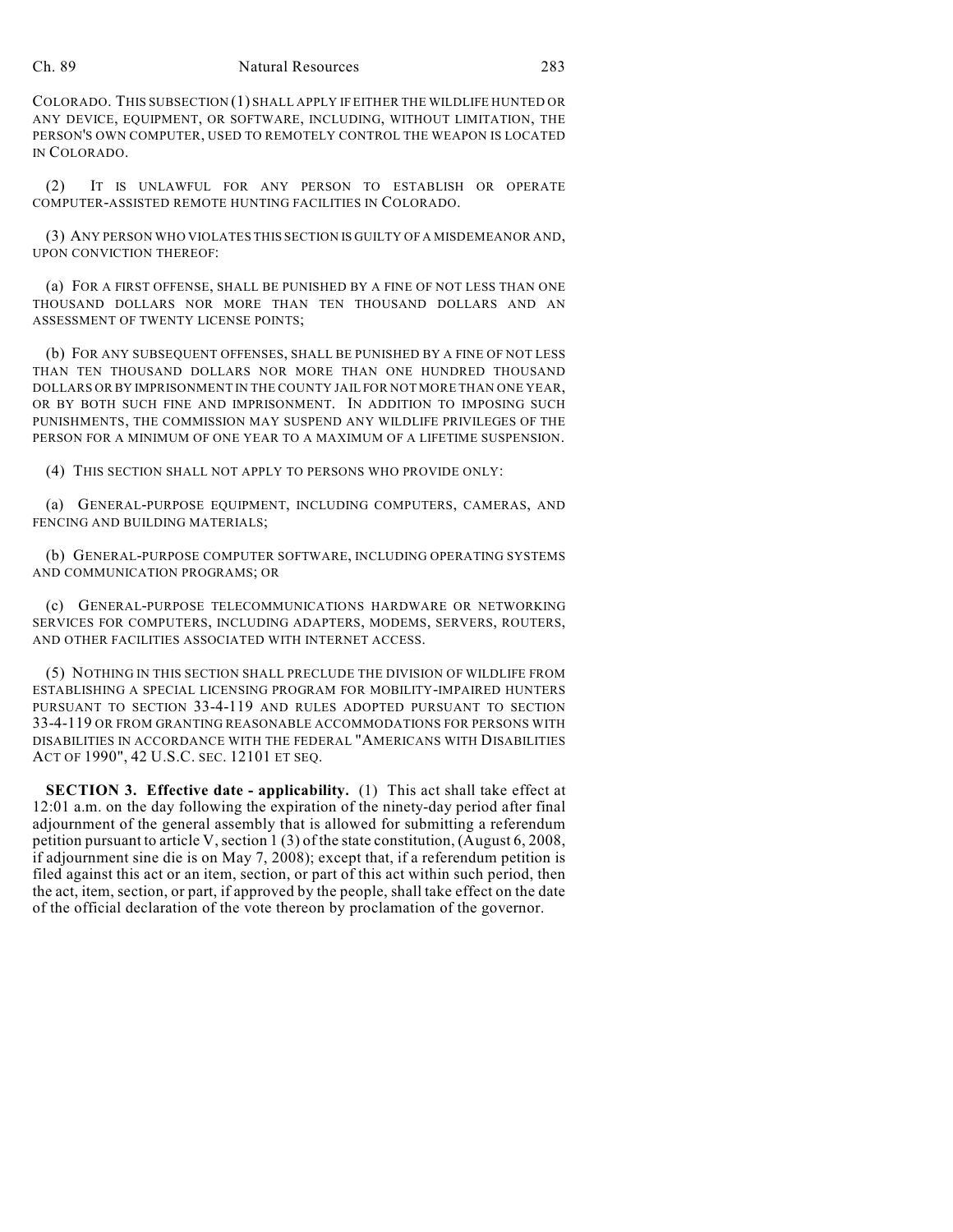## Ch. 89 Natural Resources 283

COLORADO. THIS SUBSECTION (1) SHALL APPLY IF EITHER THE WILDLIFE HUNTED OR ANY DEVICE, EQUIPMENT, OR SOFTWARE, INCLUDING, WITHOUT LIMITATION, THE PERSON'S OWN COMPUTER, USED TO REMOTELY CONTROL THE WEAPON IS LOCATED IN COLORADO.

(2) IT IS UNLAWFUL FOR ANY PERSON TO ESTABLISH OR OPERATE COMPUTER-ASSISTED REMOTE HUNTING FACILITIES IN COLORADO.

(3) ANY PERSON WHO VIOLATES THIS SECTION IS GUILTY OF A MISDEMEANOR AND, UPON CONVICTION THEREOF:

(a) FOR A FIRST OFFENSE, SHALL BE PUNISHED BY A FINE OF NOT LESS THAN ONE THOUSAND DOLLARS NOR MORE THAN TEN THOUSAND DOLLARS AND AN ASSESSMENT OF TWENTY LICENSE POINTS;

(b) FOR ANY SUBSEQUENT OFFENSES, SHALL BE PUNISHED BY A FINE OF NOT LESS THAN TEN THOUSAND DOLLARS NOR MORE THAN ONE HUNDRED THOUSAND DOLLARS OR BY IMPRISONMENT IN THE COUNTY JAIL FOR NOT MORE THAN ONE YEAR, OR BY BOTH SUCH FINE AND IMPRISONMENT. IN ADDITION TO IMPOSING SUCH PUNISHMENTS, THE COMMISSION MAY SUSPEND ANY WILDLIFE PRIVILEGES OF THE PERSON FOR A MINIMUM OF ONE YEAR TO A MAXIMUM OF A LIFETIME SUSPENSION.

(4) THIS SECTION SHALL NOT APPLY TO PERSONS WHO PROVIDE ONLY:

(a) GENERAL-PURPOSE EQUIPMENT, INCLUDING COMPUTERS, CAMERAS, AND FENCING AND BUILDING MATERIALS;

(b) GENERAL-PURPOSE COMPUTER SOFTWARE, INCLUDING OPERATING SYSTEMS AND COMMUNICATION PROGRAMS; OR

(c) GENERAL-PURPOSE TELECOMMUNICATIONS HARDWARE OR NETWORKING SERVICES FOR COMPUTERS, INCLUDING ADAPTERS, MODEMS, SERVERS, ROUTERS, AND OTHER FACILITIES ASSOCIATED WITH INTERNET ACCESS.

(5) NOTHING IN THIS SECTION SHALL PRECLUDE THE DIVISION OF WILDLIFE FROM ESTABLISHING A SPECIAL LICENSING PROGRAM FOR MOBILITY-IMPAIRED HUNTERS PURSUANT TO SECTION 33-4-119 AND RULES ADOPTED PURSUANT TO SECTION 33-4-119 OR FROM GRANTING REASONABLE ACCOMMODATIONS FOR PERSONS WITH DISABILITIES IN ACCORDANCE WITH THE FEDERAL "AMERICANS WITH DISABILITIES ACT OF 1990", 42 U.S.C. SEC. 12101 ET SEQ.

**SECTION 3. Effective date - applicability.** (1) This act shall take effect at 12:01 a.m. on the day following the expiration of the ninety-day period after final adjournment of the general assembly that is allowed for submitting a referendum petition pursuant to article V, section 1 (3) of the state constitution, (August 6, 2008, if adjournment sine die is on May 7, 2008); except that, if a referendum petition is filed against this act or an item, section, or part of this act within such period, then the act, item, section, or part, if approved by the people, shall take effect on the date of the official declaration of the vote thereon by proclamation of the governor.